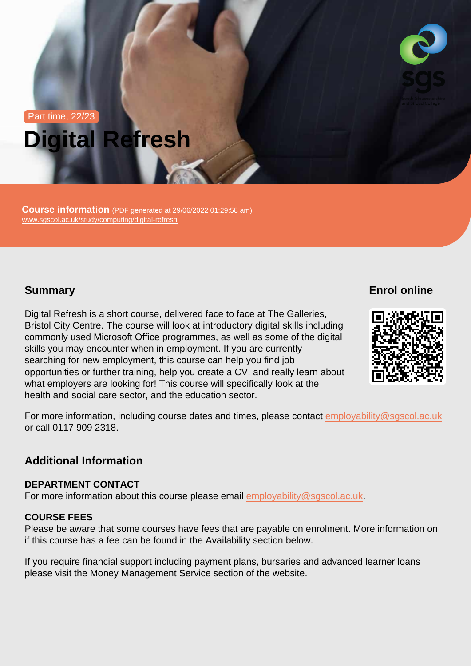# Part time, 22/23 Digital Refresh

Course information (PDF generated at 29/06/2022 01:29:58 am) [www.sgscol.ac.uk/study/computing/digital-refresh](https://www.sgscol.ac.uk/study/computing/digital-refresh)

## **Summary**

Enrol online

Digital Refresh is a short course, delivered face to face at The Galleries, Bristol City Centre. The course will look at introductory digital skills including commonly used Microsoft Office programmes, as well as some of the digital skills you may encounter when in employment. If you are currently searching for new employment, this course can help you find job opportunities or further training, help you create a CV, and really learn about what employers are looking for! This course will specifically look at the health and social care sector, and the education sector.

For more information, including course dates and times, please contact [employability@sgscol.ac.uk](mailto:employability@sgscol.ac.uk) or call 0117 909 2318.

Additional Information

#### DEPARTMENT CONTACT

For more information about this course please email [employability@sgscol.ac.uk.](mailto:employability@sgscol.ac.uk)

#### COURSE FEES

Please be aware that some courses have fees that are payable on enrolment. More information on if this course has a fee can be found in the Availability section below.

If you require financial support including payment plans, bursaries and advanced learner loans please visit the Money Management Service section of the website.